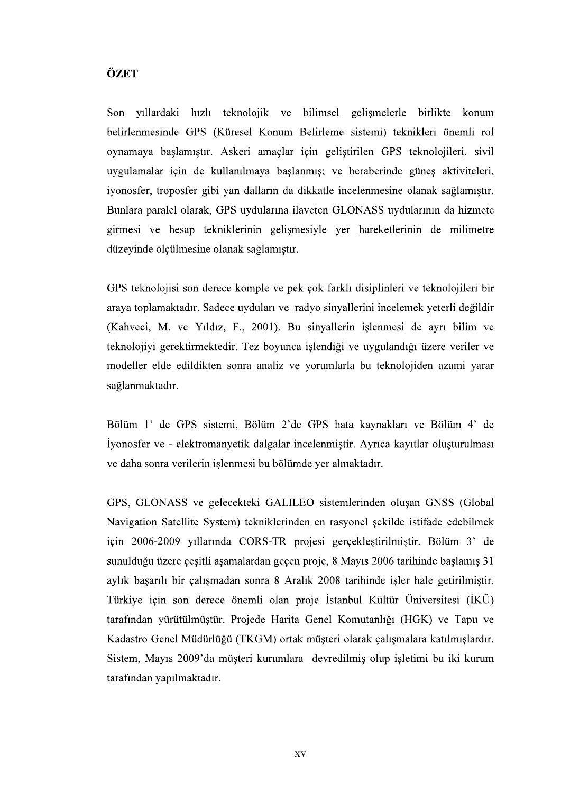## ÖZET

Son yıllardaki hızlı teknolojik ve bilimsel gelişmelerle birlikte konum belirlenmesinde GPS (Küresel Konum Belirleme sistemi) teknikleri önemli rol oynamaya başlamıştır. Askeri amaçlar için geliştirilen GPS teknolojileri, sivil uvgulamalar için de kullanılmaya baslanmıs; ve beraberinde günes aktiviteleri, iyonosfer, troposfer gibi yan dalların da dikkatle incelenmesine olanak sağlamıştır. Bunlara paralel olarak, GPS uydularına ilaveten GLONASS uydularının da hizmete girmesi ve hesap tekniklerinin gelişmesiyle yer hareketlerinin de milimetre düzeyinde ölçülmesine olanak sağlamıştır.

GPS teknolojisi son derece komple ve pek cok farklı disiplinleri ve teknolojileri bir araya toplamaktadır. Sadece uyduları ve radyo sinyallerini incelemek yeterli değildir (Kahveci, M. ve Yıldız, F., 2001). Bu sinyallerin islenmesi de ayrı bilim ve teknolojivi gerektirmektedir. Tez boyunca islendiği ve uygulandığı üzere veriler ve modeller elde edildikten sonra analiz ve yorumlarla bu teknolojiden azami yarar sağlanmaktadır.

Bölüm 1' de GPS sistemi, Bölüm 2'de GPS hata kaynakları ve Bölüm 4' de Iyonosfer ve - elektromanyetik dalgalar incelenmistir. Ayrıca kayıtlar olusturulması ve daha sonra verilerin işlenmesi bu bölümde yer almaktadır.

GPS, GLONASS ve gelecekteki GALILEO sistemlerinden olusan GNSS (Global Navigation Satellite System) tekniklerinden en rasyonel sekilde istifade edebilmek için 2006-2009 yıllarında CORS-TR projesi gerçekleştirilmiştir. Bölüm 3' de sunulduğu üzere çeşitli aşamalardan geçen proje, 8 Mayıs 2006 tarihinde başlamış 31 aylık başarılı bir çalışmadan sonra 8 Aralık 2008 tarihinde işler hale getirilmiştir. Türkiye için son derece önemli olan proje İstanbul Kültür Üniversitesi (İKÜ) tarafından yürütülmüştür. Projede Harita Genel Komutanlığı (HGK) ve Tapu ve Kadastro Genel Müdürlüğü (TKGM) ortak müsteri olarak çalışmalara katılmışlardır. Sistem, Mayıs 2009'da müşteri kurumlara devredilmiş olup işletimi bu iki kurum tarafından yapılmaktadır.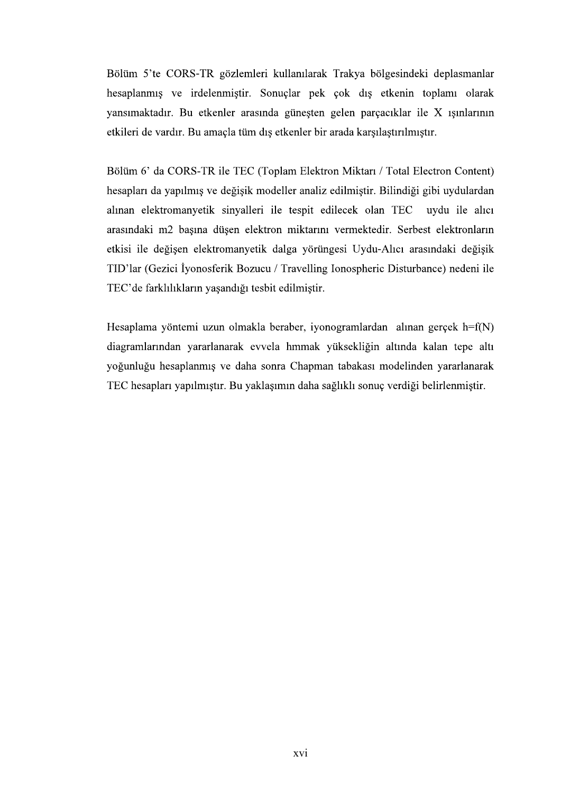Bölüm 5'te CORS-TR gözlemleri kullanılarak Trakya bölgesindeki deplasmanlar hesaplanmış ve irdelenmiştir. Sonuçlar pek çok dış etkenin toplamı olarak yansımaktadır. Bu etkenler arasında güneşten gelen parçacıklar ile X ışınlarının etkileri de vardır. Bu amaçla tüm dış etkenler bir arada karşılaştırılmıştır.

Bölüm 6' da CORS-TR ile TEC (Toplam Elektron Miktarı / Total Electron Content) hesapları da yapılmış ve değişik modeller analiz edilmiştir. Bilindiği gibi uydulardan alınan elektromanyetik sinyalleri ile tespit edilecek olan TEC uydu ile alıcı arasındaki m2 başına düşen elektron miktarını vermektedir. Serbest elektronların etkisi ile değişen elektromanyetik dalga yörüngesi Uydu-Alıcı arasındaki değişik TID'lar (Gezici İyonosferik Bozucu / Travelling Ionospheric Disturbance) nedeni ile TEC'de farklılıkların yasandığı tesbit edilmiştir.

Hesaplama yöntemi uzun olmakla beraber, iyonogramlardan alınan gerçek h=f(N) diagramlarından yararlanarak evvela hmmak yüksekliğin altında kalan tepe altı yoğunluğu hesaplanmış ve daha sonra Chapman tabakası modelinden yararlanarak TEC hesapları yapılmıştır. Bu yaklaşımın daha sağlıklı sonuç verdiği belirlenmiştir.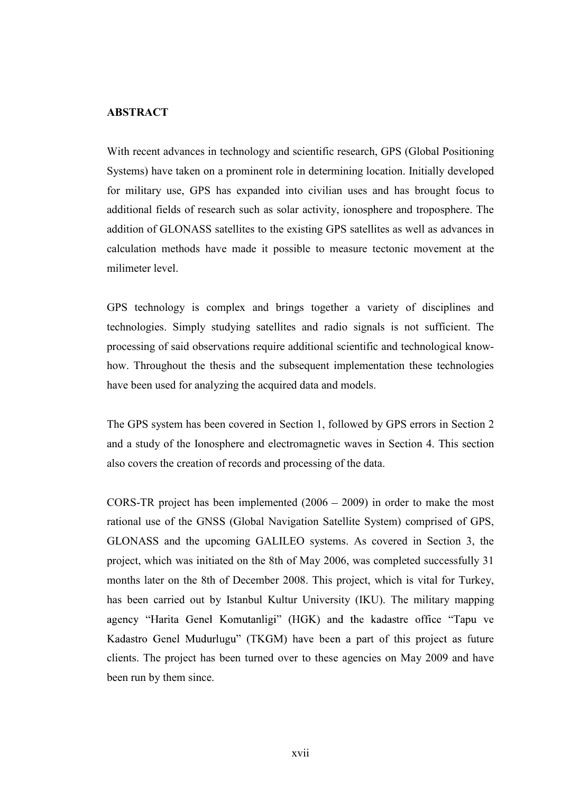## ABSTRACT

With recent advances in technology and scientific research, GPS (Global Positioning Systems) have taken on a prominent role in determining location. Initially developed for military use, GPS has expanded into civilian uses and has brought focus to additional fields of research such as solar activity, ionosphere and troposphere. The addition of GLONASS satellites to the existing GPS satellites as well as advances in calculation methods have made it possible to measure tectonic movement at the milimeter level.

GPS technology is complex and brings together a variety of disciplines and technologies. Simply studying satellites and radio signals is not sufficient. The processing of said observations require additional scientific and technological knowhow. Throughout the thesis and the subsequent implementation these technologies have been used for analyzing the acquired data and models.

The GPS system has been covered in Section 1, followed by GPS errors in Section 2 and a study of the Ionosphere and electromagnetic waves in Section 4. This section also covers the creation of records and processing of the data.

GPS technology is complex and brings together a variety of disciplines and technologies. Simply studying satellites and radio signals is not sufficient. The processing of said observations require additional scientific and CORS-TR project has been implemented  $(2006 - 2009)$  in order to make the most rational use of the GNSS (Global Navigation Satellite System) comprised of GPS, project, which was initiated on the 8th of May 2006, was completed successfully 31 months later on the 8th of December 2008. This project, which is vital for Turkey, has been carried out by Istanbul Kultur University (IKU). The military mapping agency "Harita Genel Komutanligi" (HGK) and the kadastre office "Tapu ve Kadastro Genel Mudurlugu" (TKGM) have been a part of this project as future clients. The project has been turned over to these agencies on May 2009 and have been run by them since.